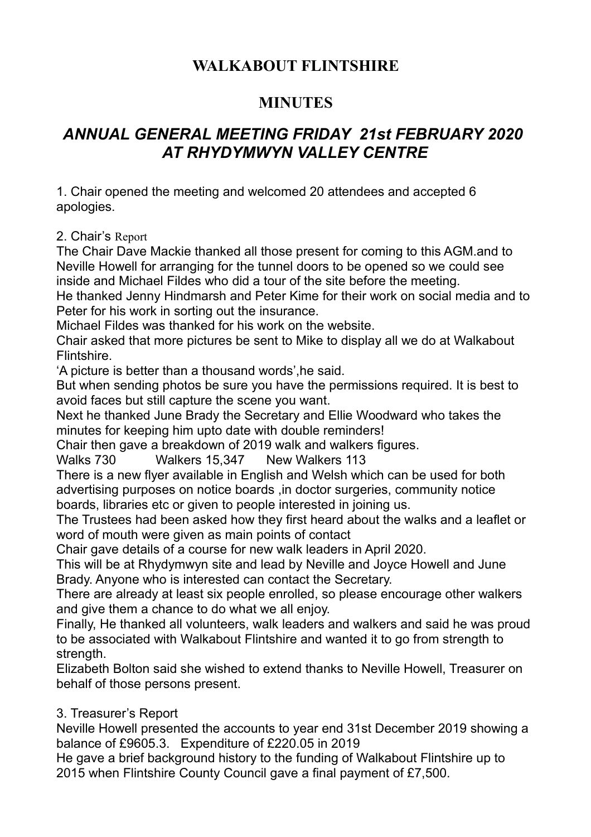# **WALKABOUT FLINTSHIRE**

### **MINUTES**

## *ANNUAL GENERAL MEETING FRIDAY 21st FEBRUARY 2020 AT RHYDYMWYN VALLEY CENTRE*

1. Chair opened the meeting and welcomed 20 attendees and accepted 6 apologies.

2. Chair's Report

The Chair Dave Mackie thanked all those present for coming to this AGM.and to Neville Howell for arranging for the tunnel doors to be opened so we could see inside and Michael Fildes who did a tour of the site before the meeting.

He thanked Jenny Hindmarsh and Peter Kime for their work on social media and to Peter for his work in sorting out the insurance.

Michael Fildes was thanked for his work on the website.

Chair asked that more pictures be sent to Mike to display all we do at Walkabout Flintshire.

'A picture is better than a thousand words',he said.

But when sending photos be sure you have the permissions required. It is best to avoid faces but still capture the scene you want.

Next he thanked June Brady the Secretary and Ellie Woodward who takes the minutes for keeping him upto date with double reminders!

Chair then gave a breakdown of 2019 walk and walkers figures.

Walks 730 Walkers 15,347 New Walkers 113

There is a new flyer available in English and Welsh which can be used for both advertising purposes on notice boards ,in doctor surgeries, community notice boards, libraries etc or given to people interested in joining us.

The Trustees had been asked how they first heard about the walks and a leaflet or word of mouth were given as main points of contact

Chair gave details of a course for new walk leaders in April 2020.

This will be at Rhydymwyn site and lead by Neville and Joyce Howell and June Brady. Anyone who is interested can contact the Secretary.

There are already at least six people enrolled, so please encourage other walkers and give them a chance to do what we all enjoy.

Finally, He thanked all volunteers, walk leaders and walkers and said he was proud to be associated with Walkabout Flintshire and wanted it to go from strength to strength.

Elizabeth Bolton said she wished to extend thanks to Neville Howell, Treasurer on behalf of those persons present.

### 3. Treasurer's Report

Neville Howell presented the accounts to year end 31st December 2019 showing a balance of £9605.3. Expenditure of £220.05 in 2019

He gave a brief background history to the funding of Walkabout Flintshire up to 2015 when Flintshire County Council gave a final payment of £7,500.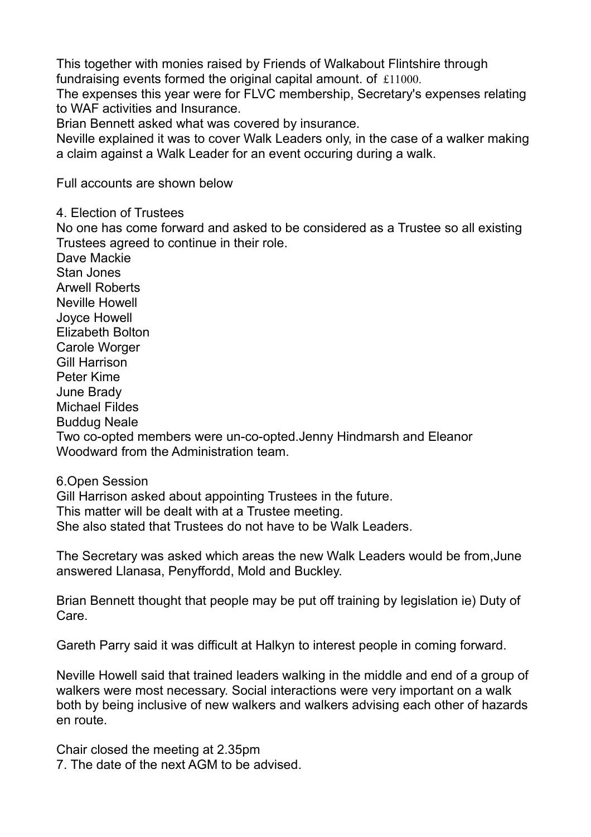This together with monies raised by Friends of Walkabout Flintshire through fundraising events formed the original capital amount. of £11000.

The expenses this year were for FLVC membership, Secretary's expenses relating to WAF activities and Insurance.

Brian Bennett asked what was covered by insurance.

Neville explained it was to cover Walk Leaders only, in the case of a walker making a claim against a Walk Leader for an event occuring during a walk.

Full accounts are shown below

4. Election of Trustees

No one has come forward and asked to be considered as a Trustee so all existing Trustees agreed to continue in their role.

Dave Mackie Stan Jones Arwell Roberts Neville Howell Joyce Howell Elizabeth Bolton Carole Worger Gill Harrison Peter Kime June Brady Michael Fildes Buddug Neale Two co-opted members were un-co-opted.Jenny Hindmarsh and Eleanor Woodward from the Administration team.

6.Open Session

Gill Harrison asked about appointing Trustees in the future. This matter will be dealt with at a Trustee meeting. She also stated that Trustees do not have to be Walk Leaders.

The Secretary was asked which areas the new Walk Leaders would be from,June answered Llanasa, Penyffordd, Mold and Buckley.

Brian Bennett thought that people may be put off training by legislation ie) Duty of Care.

Gareth Parry said it was difficult at Halkyn to interest people in coming forward.

Neville Howell said that trained leaders walking in the middle and end of a group of walkers were most necessary. Social interactions were very important on a walk both by being inclusive of new walkers and walkers advising each other of hazards en route.

Chair closed the meeting at 2.35pm 7. The date of the next AGM to be advised.